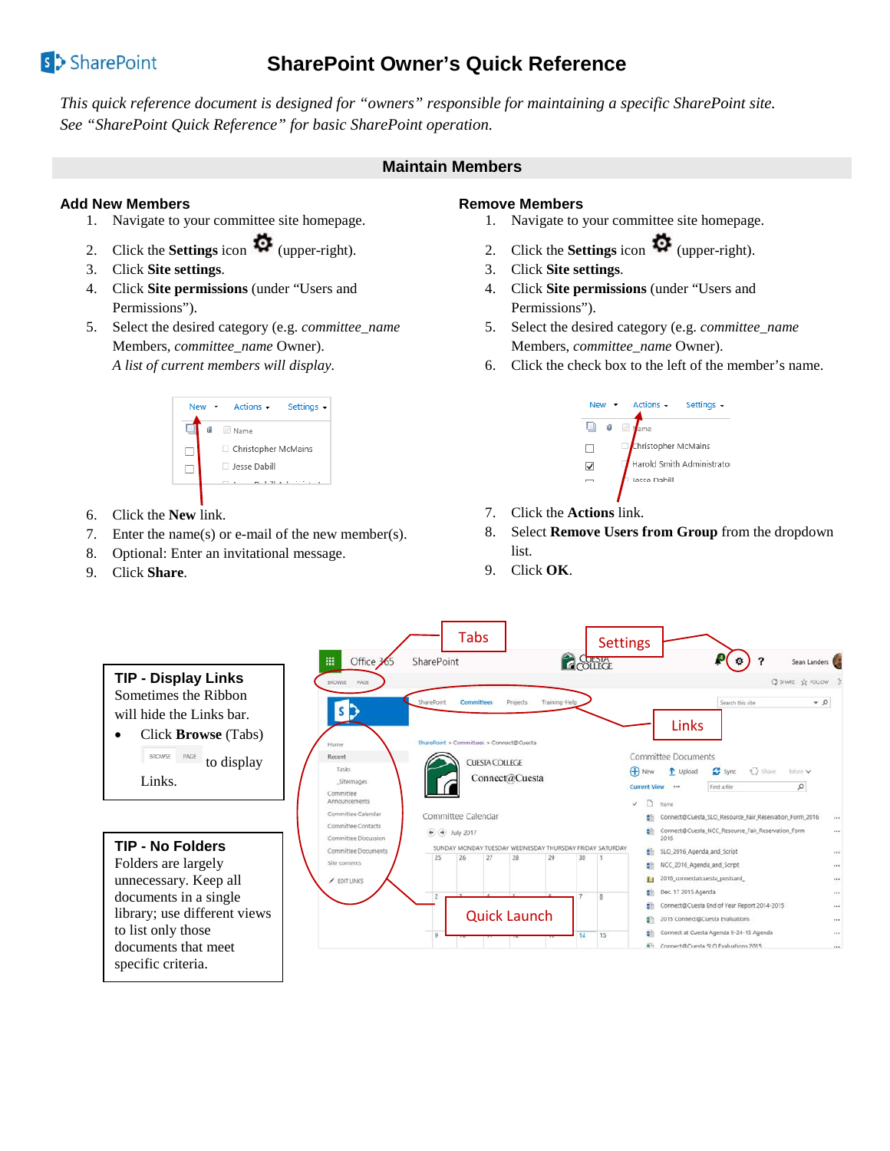# s<sup>></sup>SharePoint

## **SharePoint Owner's Quick Reference**

*This quick reference document is designed for "owners" responsible for maintaining a specific SharePoint site. See "SharePoint Quick Reference" for basic SharePoint operation.*

## **Maintain Members**

## **Add New Members**

- 1. Navigate to your committee site homepage.
- 2. Click the **Settings** icon  $\mathbf{\Omega}$  (upper-right).
- 3. Click **Site settings**.
- 4. Click **Site permissions** (under "Users and Permissions").
- 5. Select the desired category (e.g. *committee\_name* Members, *committee\_name* Owner). *A list of current members will display.*



- 6. Click the **New** link.
- 7. Enter the name(s) or e-mail of the new member(s).
- 8. Optional: Enter an invitational message.
- 9. Click **Share**.

## **Remove Members**

- 1. Navigate to your committee site homepage.
- 2. Click the **Settings** icon  $\bullet$  (upper-right).
- 3. Click **Site settings**.
- 4. Click **Site permissions** (under "Users and Permissions").
- 5. Select the desired category (e.g. *committee\_name* Members, *committee\_name* Owner).
- 6. Click the check box to the left of the member's name.



- 7. Click the **Actions** link.
- 8. Select **Remove Users from Group** from the dropdown list.
- 9. Click **OK**.

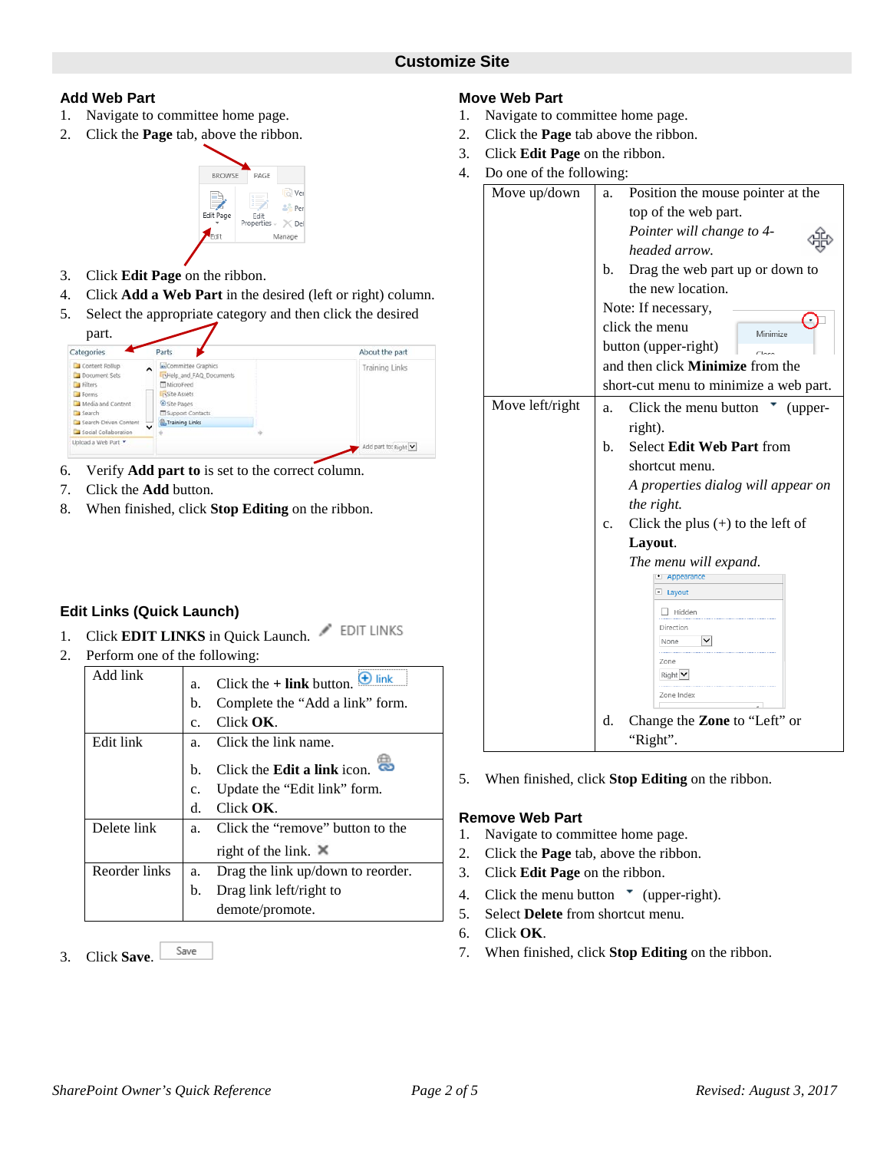#### **Add Web Part**

- 1. Navigate to committee home page.
- 2. Click the **Page** tab, above the ribbon.

#### **BROWS** PAGE ៀ Ve så Pe Edit Page .<br>Fdit Manage

- 3. Click **Edit Page** on the ribbon.
- 4. Click **Add a Web Part** in the desired (left or right) column.
- 5. Select the appropriate category and then click the desired

| Categories                                                                                                                                         | Parts                                                                                                                                                              | About the part |
|----------------------------------------------------------------------------------------------------------------------------------------------------|--------------------------------------------------------------------------------------------------------------------------------------------------------------------|----------------|
| Content Rollup<br>$\ddot{\phantom{1}}$<br>Document Sets<br>Filters<br>Forms<br>Media and Content<br>Search<br>Search-Driven Content<br>$\check{ }$ | <b>ANCommittee Graphics</b><br>FHelp and FAQ Documents<br>MicroFeed<br><b>Lissite Assets</b><br><b>B</b> Site Pages<br>Support Contacts<br><b>A</b> Training Links | Training Links |
| Social Collaboration                                                                                                                               |                                                                                                                                                                    |                |

- 6. Verify **Add part to** is set to the correct column.
- 7. Click the **Add** button.
- 8. When finished, click **Stop Editing** on the ribbon.

## **Edit Links (Quick Launch)**

- 1. Click **EDIT LINKS** in Quick Launch. **EDIT LINKS**
- 2. Perform one of the following:

| Add link      | a. | $\bigoplus$ link<br>Click the $+$ link button. |
|---------------|----|------------------------------------------------|
|               | b. | Complete the "Add a link" form.                |
|               | c. | Click $\overline{\text{OK}}$ .                 |
| Edit link     | a. | Click the link name.                           |
|               | h. | Click the <b>Edit a link</b> icon.             |
|               | c. | Update the "Edit link" form.                   |
|               | d. | $Click$ $OK$ .                                 |
| Delete link   | a. | Click the "remove" button to the               |
|               |    | right of the link. $\mathbb{X}$                |
| Reorder links | a. | Drag the link up/down to reorder.              |
|               | b. | Drag link left/right to                        |
|               |    | demote/promote.                                |

3. Click **Save**.

- **Move Web Part**
- 1. Navigate to committee home page.
- 2. Click the **Page** tab above the ribbon.
	- 3. Click **Edit Page** on the ribbon.
	- 4. Do one of the following:

|                 | ־ס |                                               |
|-----------------|----|-----------------------------------------------|
| Move up/down    | а. | Position the mouse pointer at the             |
|                 |    | top of the web part.                          |
|                 |    | Pointer will change to 4-                     |
|                 |    | headed arrow.                                 |
|                 | b. | Drag the web part up or down to               |
|                 |    | the new location.                             |
|                 |    | Note: If necessary,                           |
|                 |    | click the menu<br>Minimize                    |
|                 |    | button (upper-right)                          |
|                 |    | and then click <b>Minimize</b> from the       |
|                 |    | short-cut menu to minimize a web part.        |
| Move left/right | a. | Click the menu button<br>(upper-              |
|                 |    | right).                                       |
|                 | b. | Select Edit Web Part from                     |
|                 |    | shortcut menu.                                |
|                 |    | A properties dialog will appear on            |
|                 |    | the right.                                    |
|                 | c. | Click the plus $(+)$ to the left of           |
|                 |    | Layout.                                       |
|                 |    | The menu will expand.<br><b>El Appearance</b> |
|                 |    | $\Box$ Layout                                 |
|                 |    | $\Box$ Hidden                                 |
|                 |    | Direction                                     |
|                 |    | $\vee$<br>None                                |
|                 |    | Zone<br>$Right$ $\vee$                        |
|                 |    | Zone Index                                    |
|                 |    |                                               |
|                 | d. | Change the Zone to "Left" or                  |
|                 |    | "Right".                                      |

5. When finished, click **Stop Editing** on the ribbon.

#### **Remove Web Part**

- 1. Navigate to committee home page.
- 2. Click the **Page** tab, above the ribbon.
- 3. Click **Edit Page** on the ribbon.
- 4. Click the menu button  $\bullet$  (upper-right).
- 5. Select **Delete** from shortcut menu.
- 6. Click **OK**.
- 7. When finished, click **Stop Editing** on the ribbon.

Save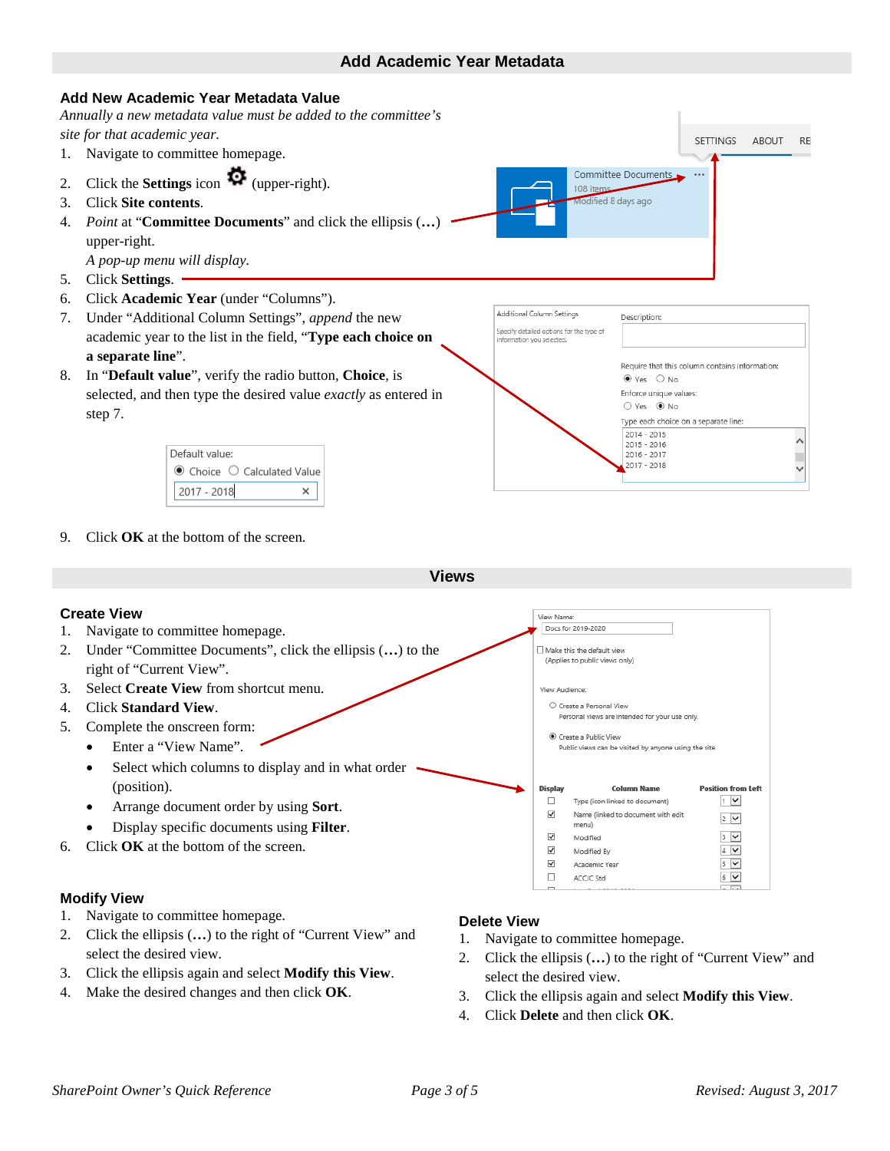## **Add Academic Year Metadata**





9. Click **OK** at the bottom of the screen.

**Views**

## **Create View**

- 1. Navigate to committee homepage.
- 2. Under "Committee Documents", click the ellipsis (**…**) to the right of "Current View".
- 3. Select **Create View** from shortcut menu.
- 4. Click **Standard View**.
- 5. Complete the onscreen form:
	- Enter a "View Name".
	- Select which columns to display and in what order (position).
	- Arrange document order by using **Sort**.
	- Display specific documents using **Filter**.
- 6. Click **OK** at the bottom of the screen.

#### **Modify View**

- 1. Navigate to committee homepage.
- 2. Click the ellipsis (**…**) to the right of "Current View" and select the desired view.
- 3. Click the ellipsis again and select **Modify this View**.
- 4. Make the desired changes and then click **OK**.

#### **Delete View**

1. Navigate to committee homepage.

View Name Docs for 2019-2020  $\Box$  Make this the default view (Applies to public views only)

View Audience

**Display** 

 $\Box$  $\checkmark$ 

 $\checkmark$ 

 $\checkmark$  $\overline{\checkmark}$ 

 $\Box$ 

O Create a Personal View

Create a Public View

menu)

Modified Modified By

Academic Year

ACCJC Std

Personal views are intended for your use only

Public views can be visited by anyone using the site

**Column Name** 

Type (icon linked to document)

Name (linked to document with edit

**Position from Left** 

 $1 \times$ 

 $2$   $\triangleright$ 

 $3\sqrt{2}$ 

 $4$   $\triangledown$ 

 $5\sqrt{2}$ 

 $6$   $\vee$ 

- 2. Click the ellipsis (**…**) to the right of "Current View" and select the desired view.
- 3. Click the ellipsis again and select **Modify this View**.
- 4. Click **Delete** and then click **OK**.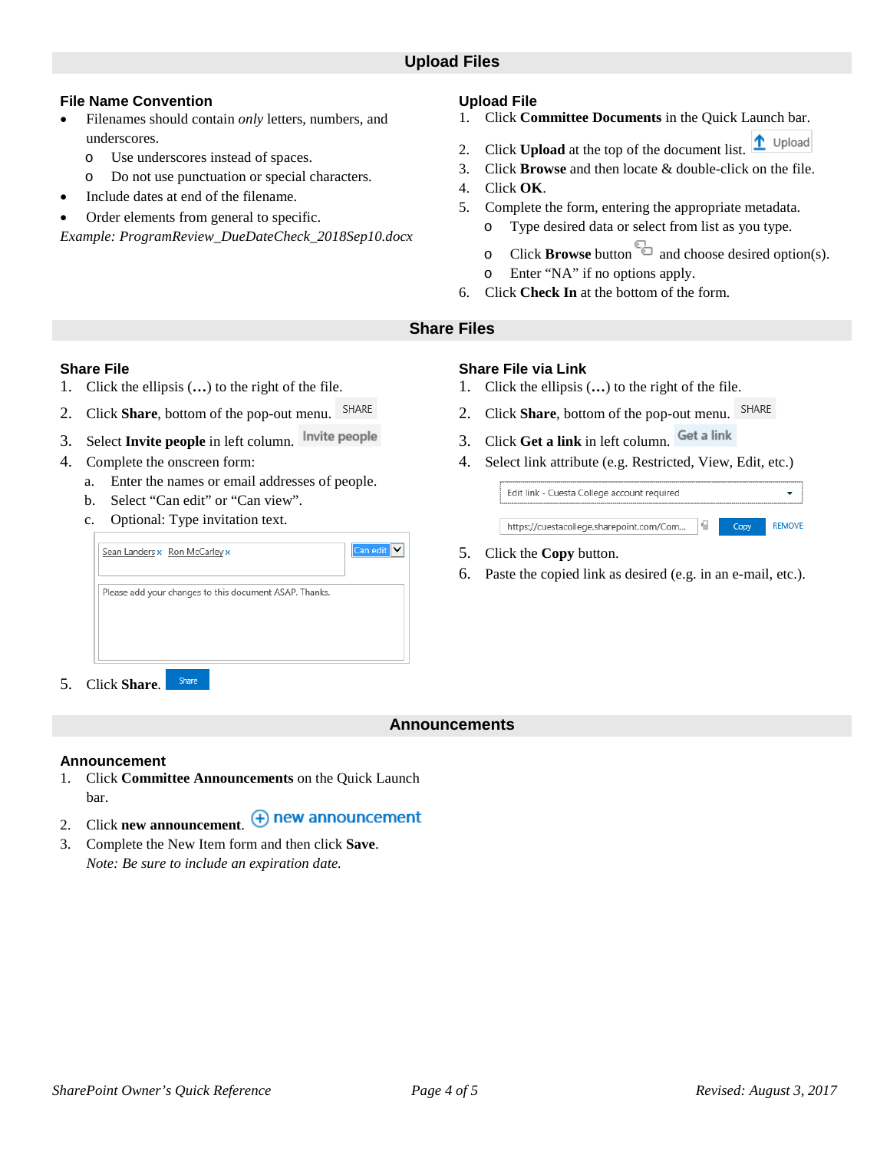## **File Name Convention**

- Filenames should contain *only* letters, numbers, and underscores.
	- o Use underscores instead of spaces.
	- o Do not use punctuation or special characters.
- Include dates at end of the filename.
- Order elements from general to specific.

*Example: ProgramReview\_DueDateCheck\_2018Sep10.docx*

#### **Upload File**

- 1. Click **Committee Documents** in the Quick Launch bar.
- 1 Upload 2. Click **Upload** at the top of the document list.
- 3. Click **Browse** and then locate & double-click on the file.
- 4. Click **OK**.
- 5. Complete the form, entering the appropriate metadata.
	- o Type desired data or select from list as you type.
	- o Click **Browse** button and choose desired option(s).
	- o Enter "NA" if no options apply.
- 6. Click **Check In** at the bottom of the form.

## **Share Files**

#### **Share File**

- 1. Click the ellipsis (**…**) to the right of the file.
- SHARE 2. Click **Share**, bottom of the pop-out menu.
- 3. Select **Invite people** in left column.
- 4. Complete the onscreen form:
	- a. Enter the names or email addresses of people.
	- b. Select "Can edit" or "Can view".
	- c. Optional: Type invitation text.

| Sean Landers x Ron McCarley x                          | Can edit |
|--------------------------------------------------------|----------|
| Please add your changes to this document ASAP. Thanks. |          |
|                                                        |          |
|                                                        |          |

5. Click **Share**.

## **Share File via Link**

- 1. Click the ellipsis (**…**) to the right of the file.
- 2. Click **Share**, bottom of the pop-out menu.
- 3. Click **Get a link** in left column.
- 4. Select link attribute (e.g. Restricted, View, Edit, etc.)

| Edit link - Cuesta College account required |      |               |
|---------------------------------------------|------|---------------|
| https://cuestacollege.sharepoint.com/Com    | Copy | <b>REMOVE</b> |

- 5. Click the **Copy** button.
- 6. Paste the copied link as desired (e.g. in an e-mail, etc.).

## **Announcements**

#### **Announcement**

- 1. Click **Committee Announcements** on the Quick Launch bar.
- 2. Click **new announcement**  $\bigoplus$  **new announcement**
- 3. Complete the New Item form and then click **Save**. *Note: Be sure to include an expiration date.*